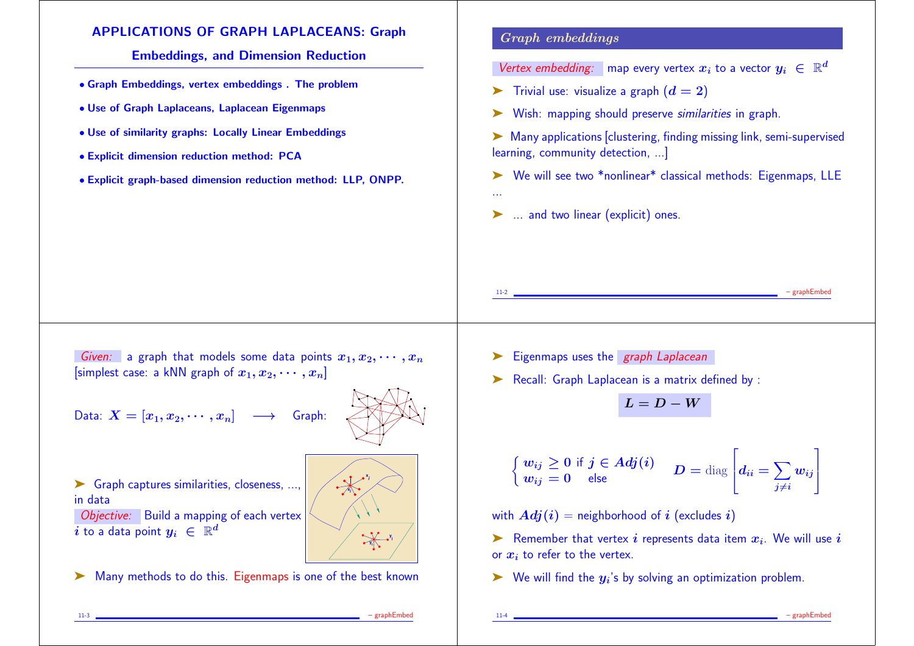### APPLICATIONS OF GRAPH LAPLACEANS: Graph

Embeddings, and Dimension Reduction

- Graph Embeddings, vertex embeddings . The problem
- Use of Graph Laplaceans, Laplacean Eigenmaps
- Use of similarity graphs: Locally Linear Embeddings
- Explicit dimension reduction method: PCA
- Explicit graph-based dimension reduction method: LLP, ONPP.

### Graph embeddings

...

Vertex embedding: a map every vertex  $x_i$  to a vector  $y_i~\in~\mathbb{R}^d$ 

- $\blacktriangleright$  Trivial use: visualize a graph  $(d = 2)$
- ➤ Wish: mapping should preserve similarities in graph.
- ➤ Many applications [clustering, finding missing link, semi-supervised learning, community detection, ...]
- ➤ We will see two \*nonlinear\* classical methods: Eigenmaps, LLE
- ➤ ... and two linear (explicit) ones.

Given: a graph that models some data points  $x_1, x_2, \cdots, x_n$ [simplest case: a kNN graph of  $x_1, x_2, \cdots, x_n$ ]

Data:  $X = [x_1, x_2, \cdots, x_n] \longrightarrow$  Graph:

▶ Graph captures similarities, closeness, ..., in data

Objective: Build a mapping of each vertex  $i$  to a data point  $y_i~\in~\mathbb{R}^d$ 

➤ Many methods to do this. Eigenmaps is one of the best known

► Eigenmaps uses the *graph Laplacean* 

➤ Recall: Graph Laplacean is a matrix defined by :

$$
L = D - W
$$

$$
\begin{cases} w_{ij} \geq 0 \text{ if } j \in Adj(i) \\ w_{ij} = 0 \quad \text{else} \end{cases} \quad D = \text{diag} \left[ d_{ii} = \sum_{j \neq i} w_{ij} \right]
$$

with  $Adj(i)$  = neighborhood of i (excludes i)

▶ Remember that vertex  $i$  represents data item  $x_i$ . We will use  $i$ or  $x_i$  to refer to the vertex.

 $\blacktriangleright$  We will find the  $y_i$ 's by solving an optimization problem.

**y j**

● ● ● ● ● ● ●

●

●

● ●

> **x j**

> > **y i**

●

●  $\sim$   $\sim$   $\sim$ ● ●  $\overline{\phantom{a}}$ 

> ● ● ● ●

**x**,\  $\sim$ 

**i**

- graphEmbe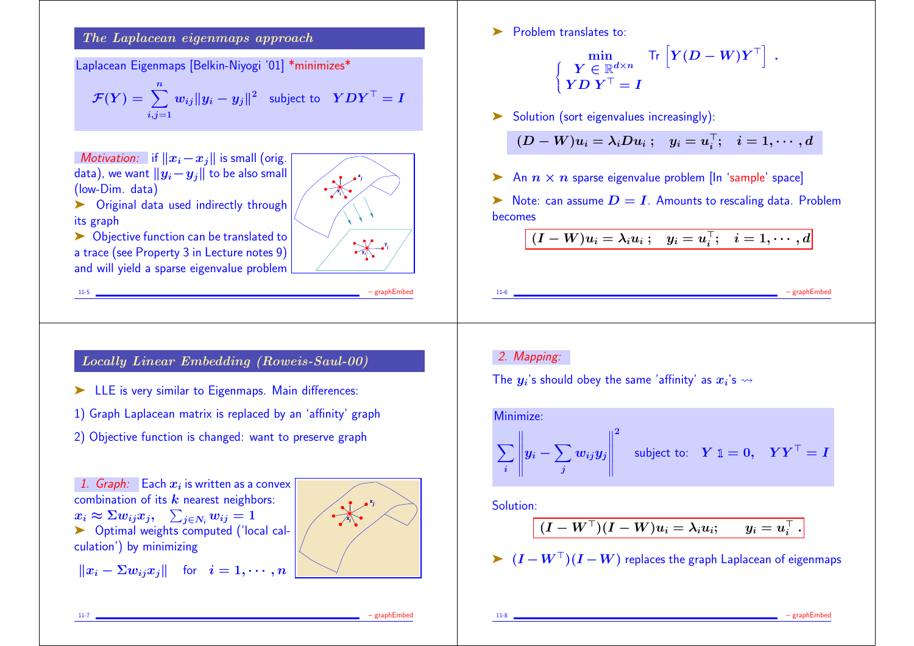The Laplacean eigenmaps approach

Laplacean Eigenmaps [Belkin-Niyogi '01] \*minimizes\*

$$
\mathcal{F}(Y) = \sum_{i,j=1}^{n} w_{ij} ||y_i - y_j||^2 \text{ subject to } YDY^{\top} = I
$$

Motivation: if  $||x_i-x_j||$  is small (orig. data), we want  $||y_i-y_j||$  to be also small (low-Dim. data)



▶ Original data used indirectly through its graph

► Objective function can be translated to a trace (see Property 3 in Lecture notes 9) and will yield a sparse eigenvalue problem

# Locally Linear Embedding (Roweis-Saul-00)

11-5 – graphEmbed

- ➤ LLE is very similar to Eigenmaps. Main differences:
- 1) Graph Laplacean matrix is replaced by an 'affinity' graph
- 2) Objective function is changed: want to preserve graph

1. Graph: Each  $x_i$  is written as a convex  $\big\lceil$ combination of its  $k$  nearest neighbors:  $x_i \approx \Sigma w_{ij} x_j, \quad \sum_{j \in N_i} w_{ij} = 1$ ▶ Optimal weights computed ('local calculation') by minimizing

$$
\|x_i - \Sigma w_{ij} x_j\| \quad \text{for} \quad i = 1, \cdots, n \mid
$$



**Problem translates to:** 

$$
\begin{cases} \min\limits_{\begin{array}{c} \boldsymbol{Y} \in \mathbb{R}^{d \times n} \\ \boldsymbol{Y} \boldsymbol{D} \ \boldsymbol{Y}^\top = \boldsymbol{I} \end{array}} \text{Tr}\left[ \boldsymbol{Y} (\boldsymbol{D} - \boldsymbol{W}) \boldsymbol{Y}^\top \right] \ . \end{cases}
$$

➤ Solution (sort eigenvalues increasingly):

$$
(D-W)u_i=\lambda_iDu_i\ ;\quad y_i=u_i^\top;\quad i=1,\cdots,d
$$

 $\triangleright$  An  $n \times n$  sparse eigenvalue problem [In 'sample' space]

 $\triangleright$  Note: can assume  $D = I$ . Amounts to rescaling data. Problem becomes

$$
(I - W)u_i = \lambda_i u_i \ ; \quad y_i = u_i^\top; \quad i = 1, \cdots, d
$$

 $-$  graphEmb

#### 2. Mapping:

The  $y_{i}$ 's should obey the same 'affinity' as  $x_{i}$ 's  $\leadsto$ 

Minimize:  
\n
$$
\sum_{i} \left\| y_i - \sum_{j} w_{ij} y_j \right\|^2 \quad \text{subject to:} \quad Y \mathbb{1} = 0, \quad Y Y^{\top} = I
$$

Solution:

$$
(I - W^\top)(I - W)u_i = \lambda_i u_i; \qquad y_i = u_i^\top\,.
$$

 $\triangleright$   $(I - W^{\top})(I - W)$  replaces the graph Laplacean of eigenmaps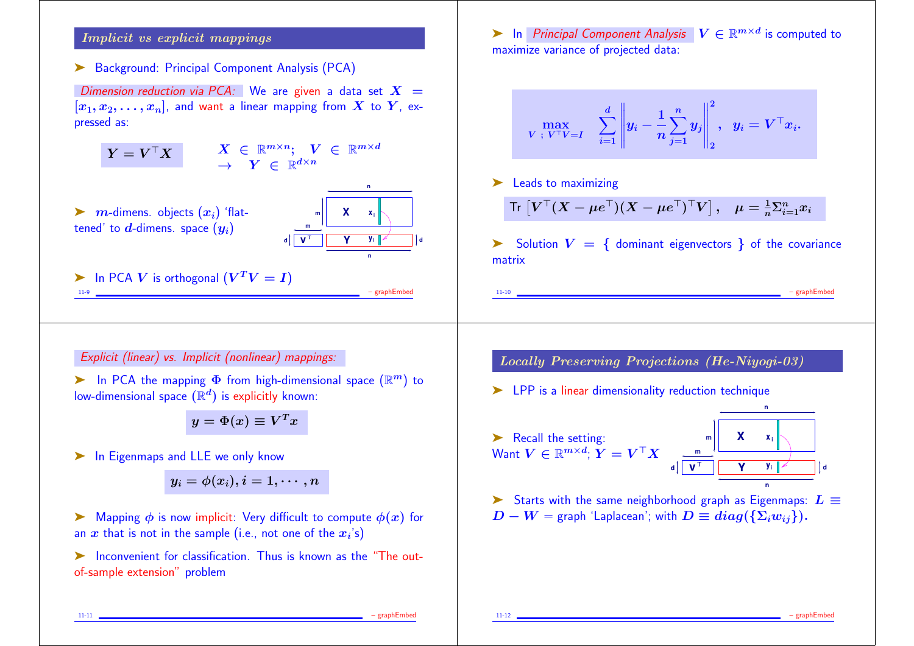## Implicit vs explicit mappings

➤ Background: Principal Component Analysis (PCA)

Dimension reduction via PCA: We are given a data set  $X =$  $[x_1, x_2, \ldots, x_n]$ , and want a linear mapping from X to Y, expressed as:

$$
Y = V^\top X \qquad \begin{array}{c} X \in \mathbb{R}^{m \times n}; \quad V \in \mathbb{R}^{m \times d} \\ \rightarrow \quad Y \in \mathbb{R}^{d \times n} \end{array}
$$

 $\blacktriangleright$   $m$ -dimens. objects  $(x_i)$  'flattened' to d-dimens. space  $(y_i)$ 



**n**

**Example 11.9** In PCA *V* is orthogonal 
$$
(V^T V = I)
$$
 *graphEmbed*

Explicit (linear) vs. Implicit (nonlinear) mappings:

 $\blacktriangleright$  In PCA the mapping  $\Phi$  from high-dimensional space  $(\mathbb{R}^m)$  to low-dimensional space  $(\mathbb{R}^d)$  is explicitly known:

 $y = \Phi(x) \equiv V^T x$ 

▶ In Eigenmaps and LLE we only know

$$
y_i=\phi(x_i), i=1,\cdots,n
$$

 $\triangleright$  Mapping  $\phi$  is now implicit: Very difficult to compute  $\phi(x)$  for an  $x$  that is not in the sample (i.e., not one of the  $x_i\!\!\mathbin{\dot{\cdot}}\mathsf{s})$ 

➤ Inconvenient for classification. Thus is known as the "The outof-sample extension" problem

► In Principal Component Analysis  $V \in \mathbb{R}^{m \times d}$  is computed to maximize variance of projected data:

$$
\max_{\boldsymbol{V}\; ;\; \boldsymbol{V}^\top\boldsymbol{V}=\boldsymbol{I}} \quad \sum_{i=1}^d \left\|\boldsymbol{y}_i-\frac{1}{n}\sum_{j=1}^n y_j\right\|_2^2, \;\; \boldsymbol{y}_i = \boldsymbol{V}^\top \boldsymbol{x}_i.
$$

▶ Leads to maximizing

$$
\mathsf{Tr}\left[V^\top (X - \mu e^\top)(X - \mu e^\top)^\top V\right], \quad \mu = \frac{1}{n} \Sigma_{i=1}^n x_i
$$

 $\triangleright$  Solution  $V = \{$  dominant eigenvectors  $\}$  of the covariance matrix

11-10 – graphEmbed

Locally Preserving Projections (He-Niyogi-03)

➤ LPP is a linear dimensionality reduction technique



Starts with the same neighborhood graph as Eigenmaps:  $L \equiv$  $D - W =$  graph 'Laplacean'; with  $D \equiv diag(\{\Sigma_i w_{ii}\})$ .

11-11 – graphEmbed and the control of the control of the control of the control of the control of the control of the control of the control of the control of the control of the control of the control of the control of the